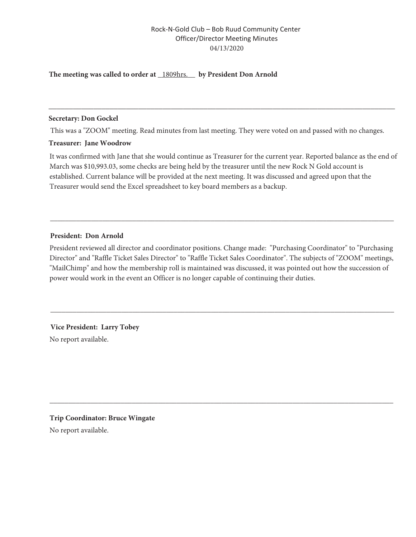# Rock-N-Gold Club - Bob Ruud Community Center **Officer/Director Meeting Minutes** 04/13/2020

### The meeting was called to order at \_1809hrs.\_\_ by President Don Arnold

#### **Secretary: Don Gockel**

This was a "ZOOM" meeting. Read minutes from last meeting. They were voted on and passed with no changes.

#### **Treasurer: Iane Woodrow**

It was confirmed with Jane that she would continue as Treasurer for the current year. Reported balance as the end of March was \$10,993.03, some checks are being held by the treasurer until the new Rock N Gold account is established. Current balance will be provided at the next meeting. It was discussed and agreed upon that the Treasurer would send the Excel spreadsheet to key board members as a backup.

## President: Don Arnold

President reviewed all director and coordinator positions. Change made: "Purchasing Coordinator" to "Purchasing Director" and "Raffle Ticket Sales Director" to "Raffle Ticket Sales Coordinator". The subjects of "ZOOM" meetings, "MailChimp" and how the membership roll is maintained was discussed, it was pointed out how the succession of power would work in the event an Officer is no longer capable of continuing their duties.

Vice President: Larry Tobey No report available.

**Trip Coordinator: Bruce Wingate** No report available.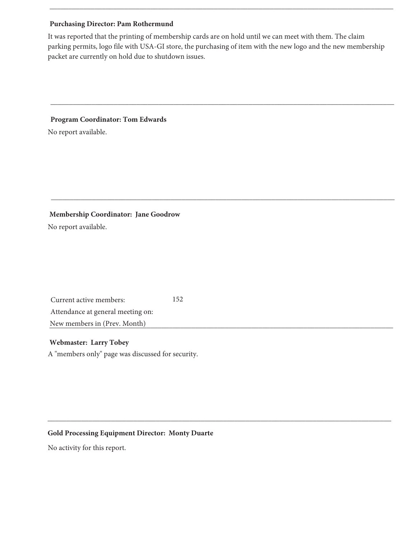## **Purchasing Director: Pam Rothermund**

It was reported that the printing of membership cards are on hold until we can meet with them. The claim parking permits, logo file with USA-GI store, the purchasing of item with the new logo and the new membership packet are currently on hold due to shutdown issues.

## **Program Coordinator: Tom Edwards**

No report available.

## Membership Coordinator: Jane Goodrow

No report available.

Current active members: Attendance at general meeting on: New members in (Prev. Month)

#### **Webmaster: Larry Tobey**

A "members only" page was discussed for security.

152

## **Gold Processing Equipment Director: Monty Duarte**

No activity for this report.